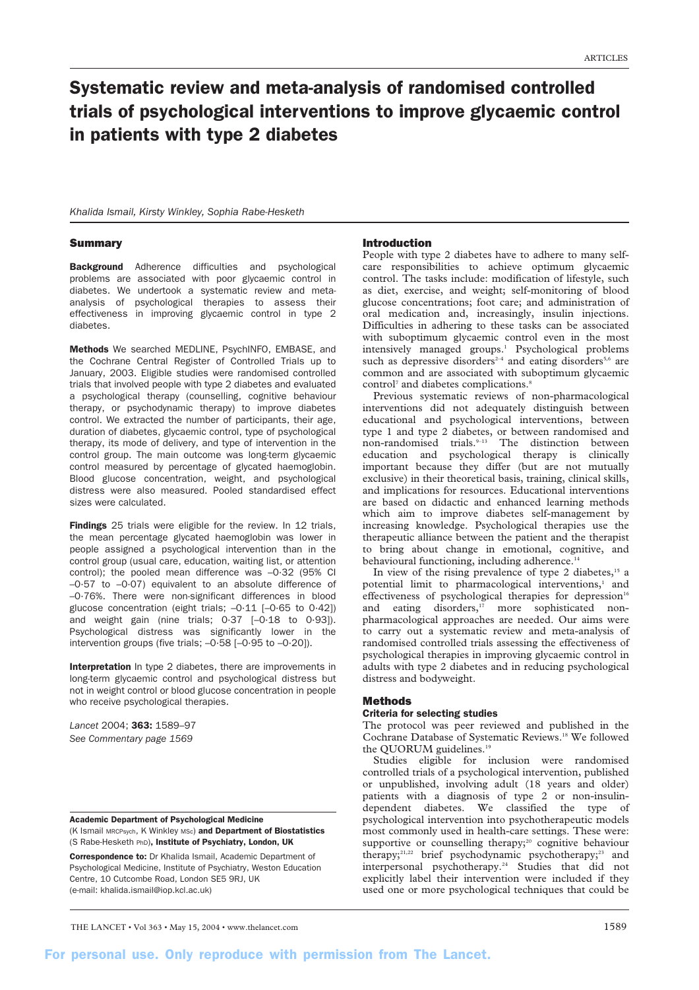# Systematic review and meta-analysis of randomised controlled trials of psychological interventions to improve glycaemic control in patients with type 2 diabetes

*Khalida Ismail, Kirsty Winkley, Sophia Rabe-Hesketh*

#### Summary

**Background** Adherence difficulties and psychological problems are associated with poor glycaemic control in diabetes. We undertook a systematic review and metaanalysis of psychological therapies to assess their effectiveness in improving glycaemic control in type 2 diabetes.

Methods We searched MEDLINE, PsychINFO, EMBASE, and the Cochrane Central Register of Controlled Trials up to January, 2003. Eligible studies were randomised controlled trials that involved people with type 2 diabetes and evaluated a psychological therapy (counselling, cognitive behaviour therapy, or psychodynamic therapy) to improve diabetes control. We extracted the number of participants, their age, duration of diabetes, glycaemic control, type of psychological therapy, its mode of delivery, and type of intervention in the control group. The main outcome was long-term glycaemic control measured by percentage of glycated haemoglobin. Blood glucose concentration, weight, and psychological distress were also measured. Pooled standardised effect sizes were calculated.

Findings 25 trials were eligible for the review. In 12 trials, the mean percentage glycated haemoglobin was lower in people assigned a psychological intervention than in the control group (usual care, education, waiting list, or attention control); the pooled mean difference was –0·32 (95% CI –0·57 to –0·07) equivalent to an absolute difference of –0·76%. There were non-significant differences in blood glucose concentration (eight trials; –0·11 [–0·65 to 0·42]) and weight gain (nine trials; 0·37 [–0·18 to 0·93]). Psychological distress was significantly lower in the intervention groups (five trials; –0·58 [–0·95 to –0·20]).

Interpretation In type 2 diabetes, there are improvements in long-term glycaemic control and psychological distress but not in weight control or blood glucose concentration in people who receive psychological therapies.

*Lancet* 2004; 363: 1589–97 *See Commentary page 1569*

Academic Department of Psychological Medicine

(K Ismail MRCPsych, K Winkley MSc) and Department of Biostatistics (S Rabe-Hesketh PhD), Institute of Psychiatry, London, UK

Correspondence to: Dr Khalida Ismail, Academic Department of Psychological Medicine, Institute of Psychiatry, Weston Education Centre, 10 Cutcombe Road, London SE5 9RJ, UK (e-mail: khalida.ismail@iop.kcl.ac.uk)

#### Introduction

People with type 2 diabetes have to adhere to many selfcare responsibilities to achieve optimum glycaemic control. The tasks include: modification of lifestyle, such as diet, exercise, and weight; self-monitoring of blood glucose concentrations; foot care; and administration of oral medication and, increasingly, insulin injections. Difficulties in adhering to these tasks can be associated with suboptimum glycaemic control even in the most intensively managed groups.<sup>1</sup> Psychological problems such as depressive disorders<sup>2-4</sup> and eating disorders<sup>5,6</sup> are common and are associated with suboptimum glycaemic control<sup>7</sup> and diabetes complications.<sup>8</sup>

Previous systematic reviews of non-pharmacological interventions did not adequately distinguish between educational and psychological interventions, between type 1 and type 2 diabetes, or between randomised and non-randomised trials. $9-13$  The distinction between education and psychological therapy is clinically important because they differ (but are not mutually exclusive) in their theoretical basis, training, clinical skills, and implications for resources. Educational interventions are based on didactic and enhanced learning methods which aim to improve diabetes self-management by increasing knowledge. Psychological therapies use the therapeutic alliance between the patient and the therapist to bring about change in emotional, cognitive, and behavioural functioning, including adherence.14

In view of the rising prevalence of type 2 diabetes, $15$  a potential limit to pharmacological interventions,<sup>1</sup> and effectiveness of psychological therapies for depression<sup>16</sup> and eating disorders,<sup>17</sup> more sophisticated nonpharmacological approaches are needed. Our aims were to carry out a systematic review and meta-analysis of randomised controlled trials assessing the effectiveness of psychological therapies in improving glycaemic control in adults with type 2 diabetes and in reducing psychological distress and bodyweight.

#### Methods

## Criteria for selecting studies

The protocol was peer reviewed and published in the Cochrane Database of Systematic Reviews.18 We followed the QUORUM guidelines.<sup>19</sup>

Studies eligible for inclusion were randomised controlled trials of a psychological intervention, published or unpublished, involving adult (18 years and older) patients with a diagnosis of type 2 or non-insulindependent diabetes. We classified the type of psychological intervention into psychotherapeutic models most commonly used in health-care settings. These were: supportive or counselling therapy;<sup>20</sup> cognitive behaviour therapy;<sup>21,22</sup> brief psychodynamic psychotherapy;<sup>23</sup> and interpersonal psychotherapy.24 Studies that did not explicitly label their intervention were included if they used one or more psychological techniques that could be

THE LANCET • Vol 363 • May 15, 2004 • www.thelancet.com 1589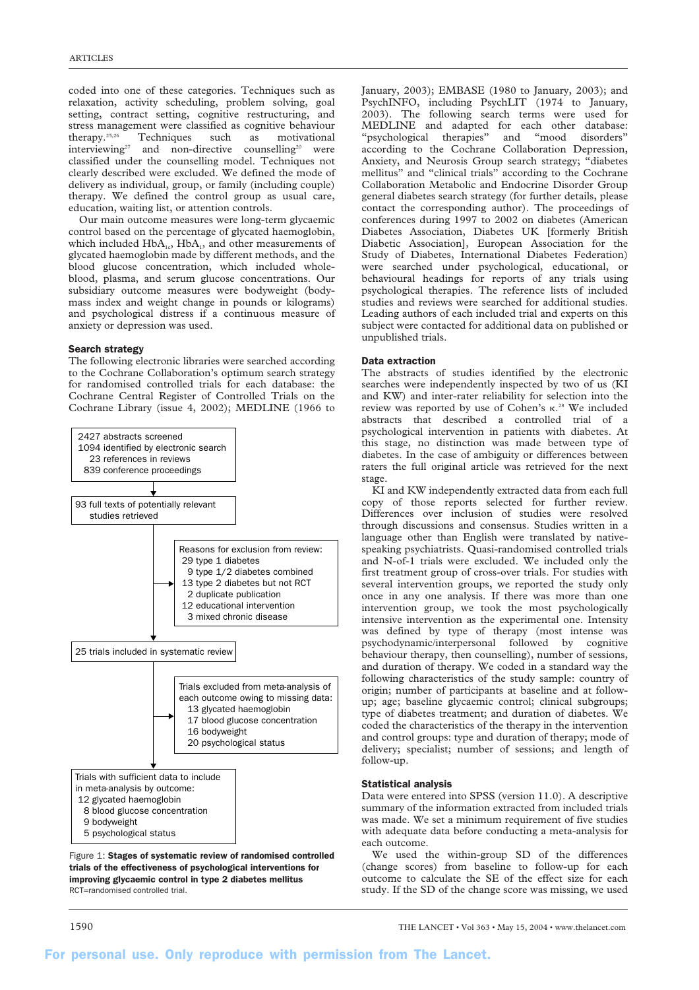coded into one of these categories. Techniques such as relaxation, activity scheduling, problem solving, goal setting, contract setting, cognitive restructuring, and stress management were classified as cognitive behaviour<br>therapy.<sup>25,26</sup> Techniques such as motivational Techniques such as motivational interviewing<sup>27</sup> and non-directive counselling<sup>20</sup> were classified under the counselling model. Techniques not clearly described were excluded. We defined the mode of delivery as individual, group, or family (including couple) therapy. We defined the control group as usual care, education, waiting list, or attention controls.

Our main outcome measures were long-term glycaemic control based on the percentage of glycated haemoglobin, which included  $HbA_{1c}$ ,  $HbA_{1c}$ , and other measurements of glycated haemoglobin made by different methods, and the blood glucose concentration, which included wholeblood, plasma, and serum glucose concentrations. Our subsidiary outcome measures were bodyweight (bodymass index and weight change in pounds or kilograms) and psychological distress if a continuous measure of anxiety or depression was used.

## Search strategy

The following electronic libraries were searched according to the Cochrane Collaboration's optimum search strategy for randomised controlled trials for each database: the Cochrane Central Register of Controlled Trials on the Cochrane Library (issue 4, 2002); MEDLINE (1966 to



trials of the effectiveness of psychological interventions for improving glycaemic control in type 2 diabetes mellitus RCT=randomised controlled trial.

January, 2003); EMBASE (1980 to January, 2003); and PsychINFO, including PsychLIT (1974 to January, 2003). The following search terms were used for MEDLINE and adapted for each other database: "psychological therapies" according to the Cochrane Collaboration Depression, Anxiety, and Neurosis Group search strategy; "diabetes mellitus" and "clinical trials" according to the Cochrane Collaboration Metabolic and Endocrine Disorder Group general diabetes search strategy (for further details, please contact the corresponding author). The proceedings of conferences during 1997 to 2002 on diabetes (American Diabetes Association, Diabetes UK [formerly British Diabetic Association], European Association for the Study of Diabetes, International Diabetes Federation) were searched under psychological, educational, or behavioural headings for reports of any trials using psychological therapies. The reference lists of included studies and reviews were searched for additional studies. Leading authors of each included trial and experts on this subject were contacted for additional data on published or unpublished trials.

#### Data extraction

The abstracts of studies identified by the electronic searches were independently inspected by two of us (KI and KW) and inter-rater reliability for selection into the review was reported by use of Cohen's  $\kappa$ .<sup>28</sup> We included abstracts that described a controlled trial of a psychological intervention in patients with diabetes. At this stage, no distinction was made between type of diabetes. In the case of ambiguity or differences between raters the full original article was retrieved for the next stage.

KI and KW independently extracted data from each full copy of those reports selected for further review. Differences over inclusion of studies were resolved through discussions and consensus. Studies written in a language other than English were translated by nativespeaking psychiatrists. Quasi-randomised controlled trials and N-of-1 trials were excluded. We included only the first treatment group of cross-over trials. For studies with several intervention groups, we reported the study only once in any one analysis. If there was more than one intervention group, we took the most psychologically intensive intervention as the experimental one. Intensity was defined by type of therapy (most intense was psychodynamic/interpersonal followed by cognitive behaviour therapy, then counselling), number of sessions, and duration of therapy. We coded in a standard way the following characteristics of the study sample: country of origin; number of participants at baseline and at followup; age; baseline glycaemic control; clinical subgroups; type of diabetes treatment; and duration of diabetes. We coded the characteristics of the therapy in the intervention and control groups: type and duration of therapy; mode of delivery; specialist; number of sessions; and length of follow-up.

#### Statistical analysis

Data were entered into SPSS (version 11.0). A descriptive summary of the information extracted from included trials was made. We set a minimum requirement of five studies with adequate data before conducting a meta-analysis for each outcome.

We used the within-group SD of the differences (change scores) from baseline to follow-up for each outcome to calculate the SE of the effect size for each study. If the SD of the change score was missing, we used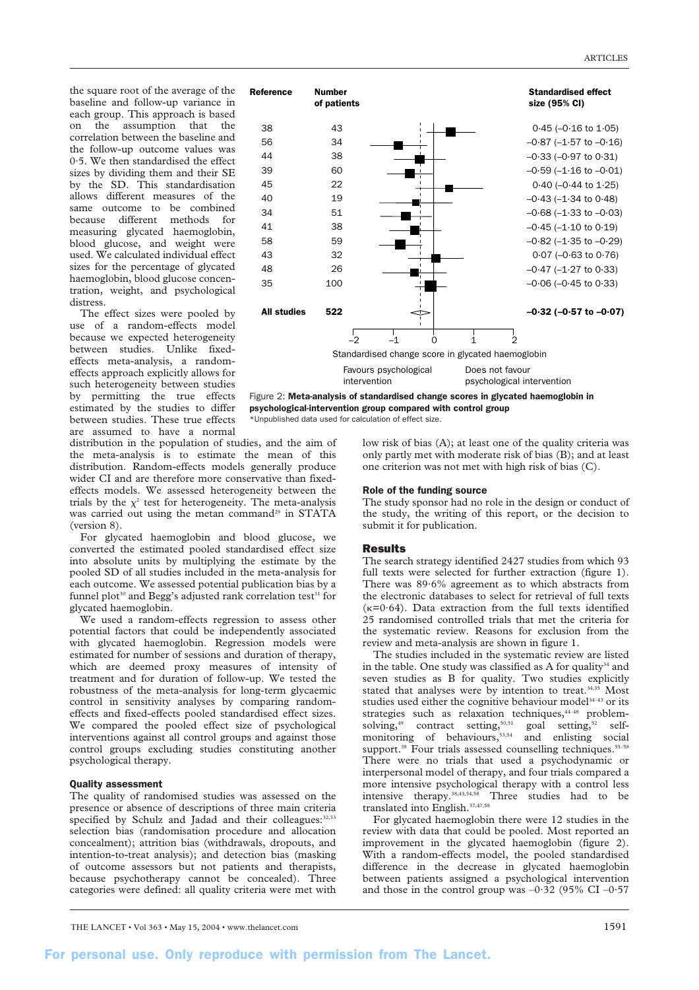the square root of the average of the baseline and follow-up variance in each group. This approach is based on the assumption that the correlation between the baseline and the follow-up outcome values was 0·5. We then standardised the effect sizes by dividing them and their SE by the SD. This standardisation allows different measures of the same outcome to be combined because different methods for measuring glycated haemoglobin, blood glucose, and weight were used. We calculated individual effect sizes for the percentage of glycated haemoglobin, blood glucose concentration, weight, and psychological distress.

The effect sizes were pooled by use of a random-effects model because we expected heterogeneity between studies. Unlike fixedeffects meta-analysis, a randomeffects approach explicitly allows for such heterogeneity between studies by permitting the true effects estimated by the studies to differ between studies. These true effects are assumed to have a normal



Figure 2: Meta-analysis of standardised change scores in glycated haemoglobin in psychological-intervention group compared with control group

\*Unpublished data used for calculation of effect size.

distribution in the population of studies, and the aim of the meta-analysis is to estimate the mean of this distribution. Random-effects models generally produce wider CI and are therefore more conservative than fixedeffects models. We assessed heterogeneity between the trials by the  $\chi^2$  test for heterogeneity. The meta-analysis was carried out using the metan command<sup>29</sup> in STATA (version 8).

For glycated haemoglobin and blood glucose, we converted the estimated pooled standardised effect size into absolute units by multiplying the estimate by the pooled SD of all studies included in the meta-analysis for each outcome. We assessed potential publication bias by a funnel plot<sup>30</sup> and Begg's adjusted rank correlation test<sup>31</sup> for glycated haemoglobin.

We used a random-effects regression to assess other potential factors that could be independently associated with glycated haemoglobin. Regression models were estimated for number of sessions and duration of therapy, which are deemed proxy measures of intensity of treatment and for duration of follow-up. We tested the robustness of the meta-analysis for long-term glycaemic control in sensitivity analyses by comparing randomeffects and fixed-effects pooled standardised effect sizes. We compared the pooled effect size of psychological interventions against all control groups and against those control groups excluding studies constituting another psychological therapy.

#### Quality assessment

The quality of randomised studies was assessed on the presence or absence of descriptions of three main criteria specified by Schulz and Jadad and their colleagues: 32,33 selection bias (randomisation procedure and allocation concealment); attrition bias (withdrawals, dropouts, and intention-to-treat analysis); and detection bias (masking of outcome assessors but not patients and therapists, because psychotherapy cannot be concealed). Three categories were defined: all quality criteria were met with

low risk of bias (A); at least one of the quality criteria was only partly met with moderate risk of bias (B); and at least one criterion was not met with high risk of bias (C).

## Role of the funding source

The study sponsor had no role in the design or conduct of the study, the writing of this report, or the decision to submit it for publication.

## Results

The search strategy identified 2427 studies from which 93 full texts were selected for further extraction (figure 1). There was 89·6% agreement as to which abstracts from the electronic databases to select for retrieval of full texts  $(\kappa = 0.64)$ . Data extraction from the full texts identified 25 randomised controlled trials that met the criteria for the systematic review. Reasons for exclusion from the review and meta-analysis are shown in figure 1.

The studies included in the systematic review are listed in the table. One study was classified as A for quality<sup>34</sup> and seven studies as B for quality. Two studies explicitly stated that analyses were by intention to treat.<sup>34,35</sup> Most studies used either the cognitive behaviour model<sup>34-43</sup> or its strategies such as relaxation techniques,<sup>44-48</sup> problemsolving,<sup>49</sup> contract setting,<sup>50,51</sup> goal setting,<sup>52</sup> selfmonitoring of behaviours,53,54 and enlisting social support.<sup>38</sup> Four trials assessed counselling techniques.<sup>55-58</sup> There were no trials that used a psychodynamic or interpersonal model of therapy, and four trials compared a more intensive psychological therapy with a control less intensive therapy.38,43,54,58 Three studies had to be translated into English.<sup>37,47,58</sup>

For glycated haemoglobin there were 12 studies in the review with data that could be pooled. Most reported an improvement in the glycated haemoglobin (figure 2). With a random-effects model, the pooled standardised difference in the decrease in glycated haemoglobin between patients assigned a psychological intervention and those in the control group was  $-0.32$  (95% CI  $-0.57$ )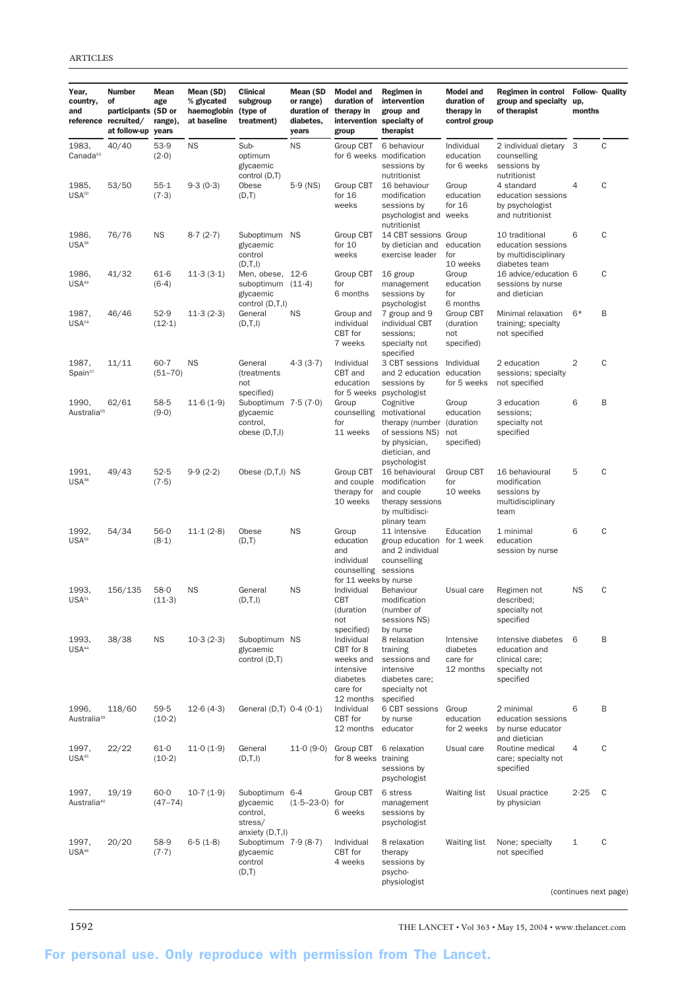| Year,<br>country,<br>and<br>reference | <b>Number</b><br>of<br>participants (SD or<br>recruited/<br>at follow-up | <b>Mean</b><br>age<br>range),<br>years | Mean (SD)<br>% glycated<br>haemoglobin<br>at baseline | <b>Clinical</b><br>subgroup<br>(type of<br>treatment)                      | <b>Mean (SD</b><br>or range)<br>duration of<br>diabetes,<br>years | <b>Model and</b><br>duration of<br>therapy in<br>group                                               | <b>Regimen in</b><br>intervention<br>group and<br>intervention specialty of<br>therapist                                     | <b>Model and</b><br>duration of<br>therapy in<br>control group | <b>Regimen in control</b><br>group and specialty<br>of therapist                    | up,<br>months  | <b>Follow- Quality</b> |
|---------------------------------------|--------------------------------------------------------------------------|----------------------------------------|-------------------------------------------------------|----------------------------------------------------------------------------|-------------------------------------------------------------------|------------------------------------------------------------------------------------------------------|------------------------------------------------------------------------------------------------------------------------------|----------------------------------------------------------------|-------------------------------------------------------------------------------------|----------------|------------------------|
| 1983,<br>Canada <sup>53</sup>         | 40/40                                                                    | 53.9<br>(2.0)                          | <b>NS</b>                                             | Sub-<br>optimum<br>glycaemic<br>control (D,T)                              | <b>NS</b>                                                         | Group CBT                                                                                            | 6 behaviour<br>for 6 weeks modification<br>sessions by<br>nutritionist                                                       | Individual<br>education<br>for 6 weeks                         | 2 individual dietary<br>counselling<br>sessions by<br>nutritionist                  | 3              | C                      |
| 1985,<br>USA <sup>50</sup>            | 53/50                                                                    | $55 - 1$<br>(7.3)                      | 9.3(0.3)                                              | Obese<br>(D,T)                                                             | $5.9$ (NS)                                                        | Group CBT<br>for $16$<br>weeks                                                                       | 16 behaviour<br>modification<br>sessions by<br>psychologist and weeks<br>nutritionist                                        | Group<br>education<br>for $16$                                 | 4 standard<br>education sessions<br>by psychologist<br>and nutritionist             | $\overline{4}$ | $\mathsf{C}$           |
| 1986,<br>$USA^{36}$                   | 76/76                                                                    | <b>NS</b>                              | 8.7(2.7)                                              | Suboptimum<br>glycaemic<br>control<br>(D,T,I)                              | <b>NS</b>                                                         | Group CBT<br>for $10$<br>weeks                                                                       | 14 CBT sessions Group<br>by dietician and<br>exercise leader                                                                 | education<br>for<br>10 weeks                                   | 10 traditional<br>education sessions<br>by multidisciplinary<br>diabetes team       | 6              | C                      |
| 1986,<br>USA <sup>49</sup>            | 41/32                                                                    | $61 - 6$<br>(6.4)                      | 11.3(3.1)                                             | Men, obese, $12.6$<br>suboptimum $(11.4)$<br>glycaemic<br>control (D,T,I)  |                                                                   | Group CBT<br>for<br>6 months                                                                         | 16 group<br>management<br>sessions by<br>psychologist                                                                        | Group<br>education<br>for<br>6 months                          | 16 advice/education 6<br>sessions by nurse<br>and dietician                         |                | C                      |
| 1987,<br>USA <sup>54</sup>            | 46/46                                                                    | 52.9<br>(12.1)                         | 11.3(2.3)                                             | General<br>(D,T,I)                                                         | <b>NS</b>                                                         | Group and<br>individual<br>CBT for<br>7 weeks                                                        | 7 group and 9<br>individual CBT<br>sessions;<br>specialty not                                                                | Group CBT<br>(duration<br>not<br>specified)                    | Minimal relaxation<br>training; specialty<br>not specified                          | $6*$           | B                      |
| 1987,<br>Span <sup>37</sup>           | 11/11                                                                    | $60 - 7$<br>$(51 - 70)$                | <b>NS</b>                                             | General<br>(treatments<br>not<br>specified)                                | 4.3(3.7)                                                          | Individual<br>CBT and<br>education<br>for 5 weeks                                                    | specified<br>3 CBT sessions<br>and 2 education<br>sessions by<br>psychologist                                                | Individual<br>education<br>for 5 weeks                         | 2 education<br>sessions; specialty<br>not specified                                 | 2              | C                      |
| 1990.<br>Australia <sup>55</sup>      | 62/61                                                                    | $58 - 5$<br>(9.0)                      | 11.6(1.9)                                             | Suboptimum $7.5(7.0)$<br>glycaemic<br>control,<br>obese (D,T,I)            |                                                                   | Group<br>counselling<br>for<br>11 weeks                                                              | Cognitive<br>motivational<br>therapy (number (duration<br>of sessions NS)<br>by physician,<br>dietician, and<br>psychologist | Group<br>education<br>not<br>specified)                        | 3 education<br>sessions;<br>specialty not<br>specified                              | 6              | B                      |
| 1991.<br>USA <sup>38</sup>            | 49/43                                                                    | $52 - 5$<br>(7.5)                      | 9.9(2.2)                                              | Obese (D,T,I) NS                                                           |                                                                   | Group CBT<br>and couple<br>therapy for<br>10 weeks                                                   | 16 behavioural<br>modification<br>and couple<br>therapy sessions<br>by multidisci-<br>plinary team                           | Group CBT<br>for<br>10 weeks                                   | 16 behavioural<br>modification<br>sessions by<br>multidisciplinary<br>team          | 5              | C                      |
| 1992.<br>USA <sup>56</sup>            | 54/34                                                                    | $56 - 0$<br>(8.1)                      | 11.1(2.8)                                             | Obese<br>(D,T)                                                             | <b>NS</b>                                                         | Group<br>education<br>and<br>individual<br>counselling<br>for 11 weeks by nurse                      | 11 intensive<br>group education<br>and 2 individual<br>counselling<br>sessions                                               | Education<br>for 1 week                                        | 1 minimal<br>education<br>session by nurse                                          | 6              | $\mathsf{C}$           |
| 1993,<br>USA <sup>51</sup>            | 156/135                                                                  | $58 - 0$<br>(11.3)                     | <b>NS</b>                                             | General<br>(D,T,I)                                                         | <b>NS</b>                                                         | Individual<br>CBT<br>(duration<br>not                                                                | Behaviour<br>modification<br>(number of<br>sessions NS)                                                                      | Usual care                                                     | Regimen not<br>described;<br>specialty not<br>specified                             | <b>NS</b>      | C                      |
| 1993,<br>USA <sup>44</sup>            | 38/38                                                                    | <b>NS</b>                              | 10.3(2.3)                                             | Suboptimum NS<br>glycaemic<br>control (D,T)                                |                                                                   | specified)<br>Individual<br>CBT for 8<br>weeks and<br>intensive<br>diabetes<br>care for<br>12 months | by nurse<br>8 relaxation<br>training<br>sessions and<br>intensive<br>diabetes care;<br>specialty not<br>specified            | Intensive<br>diabetes<br>care for<br>12 months                 | Intensive diabetes<br>education and<br>clinical care;<br>specialty not<br>specified | - 6            | B                      |
| 1996,<br>Australia <sup>39</sup>      | 118/60                                                                   | 59.5<br>(10.2)                         | 12.6(4.3)                                             | General (D.T) 0.4 (0.1)                                                    |                                                                   | Individual<br>CBT for<br>12 months                                                                   | 6 CBT sessions<br>by nurse<br>educator                                                                                       | Group<br>education<br>for 2 weeks                              | 2 minimal<br>education sessions<br>by nurse educator<br>and dietician               | 6              | B                      |
| 1997,<br>USA <sup>45</sup>            | 22/22                                                                    | 61.0<br>(10.2)                         | 11.0(1.9)                                             | General<br>(D,T,I)                                                         | 11.0(9.0)                                                         | Group CBT<br>for 8 weeks training                                                                    | 6 relaxation<br>sessions by<br>psychologist                                                                                  | Usual care                                                     | Routine medical<br>care; specialty not<br>specified                                 | 4              | C                      |
| 1997,<br>Australia <sup>40</sup>      | 19/19                                                                    | $60 - 0$<br>$(47 - 74)$                | 10.7(1.9)                                             | Suboptimum 6.4<br>glycaemic<br>control,<br>stress/                         | $(1.5 - 23.0)$                                                    | Group CBT<br>for<br>6 weeks                                                                          | 6 stress<br>management<br>sessions by<br>psychologist                                                                        | <b>Waiting list</b>                                            | Usual practice<br>by physician                                                      | 2.25           | C                      |
| 1997,<br>USA <sup>46</sup>            | 20/20                                                                    | 58.9<br>$(7-7)$                        | 6.5(1.8)                                              | anxiety (D,T,I)<br>Suboptimum $7.9$ (8.7)<br>glycaemic<br>control<br>(D,T) |                                                                   | Individual<br>CBT for<br>4 weeks                                                                     | 8 relaxation<br>therapy<br>sessions by<br>psycho-<br>physiologist                                                            | <b>Waiting list</b>                                            | None; specialty<br>not specified                                                    | 1              | C                      |
|                                       |                                                                          |                                        |                                                       |                                                                            |                                                                   |                                                                                                      |                                                                                                                              |                                                                |                                                                                     |                | (continues next page)  |

1592 THE LANCET • Vol 363 • May 15, 2004 • www.thelancet.com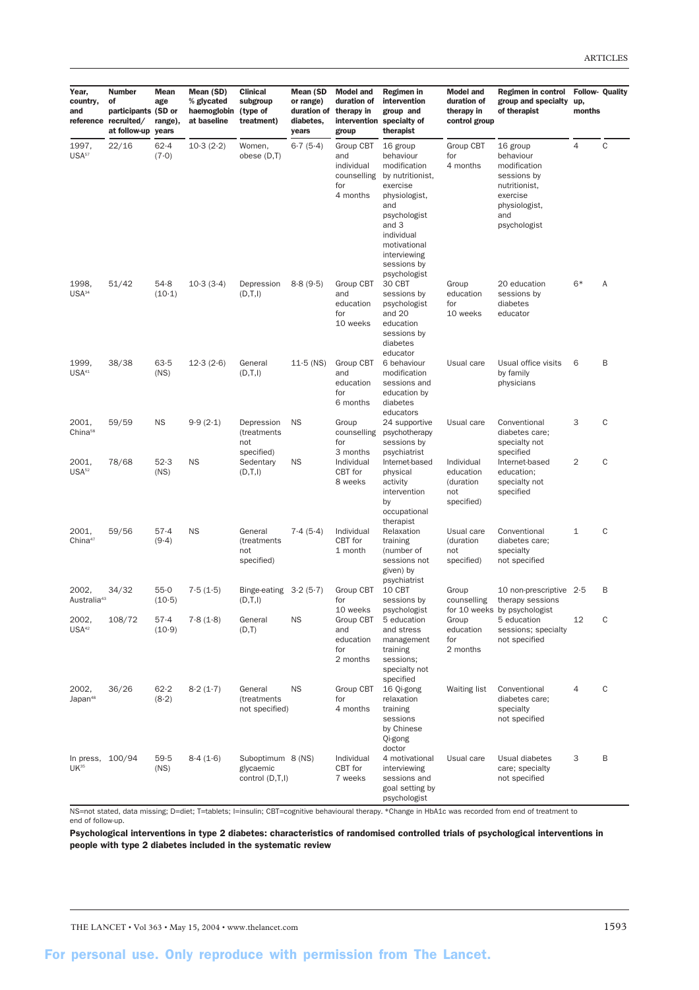| Year,<br>country,<br>and<br>reference | <b>Number</b><br>οf<br>participants (SD or<br>recruited/<br>at follow-up | <b>Mean</b><br>age<br>range),<br>years | Mean (SD)<br>% glycated<br>haemoglobin<br>at baseline | <b>Clinical</b><br>subgroup<br>(type of<br>treatment) | <b>Mean (SD</b><br>or range)<br>duration of<br>diabetes,<br>years | <b>Model and</b><br>duration of<br>therapy in<br>group           | Regimen in<br>intervention<br>group and<br>intervention specialty of<br>therapist                                                                                                                   | <b>Model and</b><br>duration of<br>therapy in<br>control group | <b>Regimen in control</b><br>group and specialty<br>of therapist                                                          | <b>Follow- Quality</b><br>up,<br>months |              |
|---------------------------------------|--------------------------------------------------------------------------|----------------------------------------|-------------------------------------------------------|-------------------------------------------------------|-------------------------------------------------------------------|------------------------------------------------------------------|-----------------------------------------------------------------------------------------------------------------------------------------------------------------------------------------------------|----------------------------------------------------------------|---------------------------------------------------------------------------------------------------------------------------|-----------------------------------------|--------------|
| 1997,<br>USA <sup>57</sup>            | 22/16                                                                    | $62 - 4$<br>(7.0)                      | 10.3(2.2)                                             | Women,<br>obese (D,T)                                 | 6.7(5.4)                                                          | Group CBT<br>and<br>individual<br>counselling<br>for<br>4 months | 16 group<br>behaviour<br>modification<br>by nutritionist,<br>exercise<br>physiologist,<br>and<br>psychologist<br>and 3<br>individual<br>motivational<br>interviewing<br>sessions by<br>psychologist | Group CBT<br>for<br>4 months                                   | 16 group<br>behaviour<br>modification<br>sessions by<br>nutritionist,<br>exercise<br>physiologist,<br>and<br>psychologist | $\overline{4}$                          | $\mathsf C$  |
| 1998,<br>USA <sup>34</sup>            | 51/42                                                                    | 54.8<br>(10.1)                         | 10.3(3.4)                                             | Depression<br>(D,T,I)                                 | 8.8(9.5)                                                          | Group CBT<br>and<br>education<br>for<br>10 weeks                 | 30 CBT<br>sessions by<br>psychologist<br>and 20<br>education<br>sessions by<br>diabetes<br>educator                                                                                                 | Group<br>education<br>for<br>10 weeks                          | 20 education<br>sessions by<br>diabetes<br>educator                                                                       | $6*$                                    | Α            |
| 1999,<br>USA <sup>41</sup>            | 38/38                                                                    | 63.5<br>(NS)                           | 12.3(2.6)                                             | General<br>(D,T,I)                                    | $11.5$ (NS)                                                       | Group CBT<br>and<br>education<br>for<br>6 months                 | 6 behaviour<br>modification<br>sessions and<br>education by<br>diabetes<br>educators                                                                                                                | Usual care                                                     | Usual office visits<br>by family<br>physicians                                                                            | 6                                       | B            |
| 2001,<br>China <sup>58</sup>          | 59/59                                                                    | <b>NS</b>                              | 9.9(2.1)                                              | Depression<br>(treatments<br>not<br>specified)        | <b>NS</b>                                                         | Group<br>counselling<br>for<br>3 months                          | 24 supportive<br>psychotherapy<br>sessions by<br>psychiatrist                                                                                                                                       | Usual care                                                     | Conventional<br>diabetes care;<br>specialty not<br>specified                                                              | 3                                       | $\mathsf{C}$ |
| 2001,<br>USA <sup>52</sup>            | 78/68                                                                    | 52.3<br>(NS)                           | <b>NS</b>                                             | Sedentary<br>(D,T,I)                                  | <b>NS</b>                                                         | Individual<br>CBT for<br>8 weeks                                 | Internet-based<br>physical<br>activity<br>intervention<br>by<br>occupational<br>therapist                                                                                                           | Individual<br>education<br>(duration<br>not<br>specified)      | Internet-based<br>education;<br>specialty not<br>specified                                                                | 2                                       | $\mathsf{C}$ |
| 2001,<br>China <sup>47</sup>          | 59/56                                                                    | 57.4<br>(9.4)                          | <b>NS</b>                                             | General<br>(treatments<br>not<br>specified)           | 7.4(5.4)                                                          | Individual<br>CBT for<br>1 month                                 | Relaxation<br>training<br>(number of<br>sessions not<br>given) by<br>psychiatrist                                                                                                                   | Usual care<br>(duration<br>not<br>specified)                   | Conventional<br>diabetes care;<br>specialty<br>not specified                                                              | $\mathbf 1$                             | C            |
| 2002,<br>Australia <sup>43</sup>      | 34/32                                                                    | 55.0<br>$(10-5)$                       | 7.5(1.5)                                              | Binge-eating $3.2(5.7)$<br>(D,T,I)                    |                                                                   | Group CBT<br>for<br>10 weeks                                     | 10 CBT<br>sessions by<br>psychologist                                                                                                                                                               | Group<br>counselling                                           | 10 non-prescriptive 2.5<br>therapy sessions<br>for 10 weeks by psychologist                                               |                                         | B            |
| 2002,<br>USA <sup>42</sup>            | 108/72                                                                   | 57.4<br>(10.9)                         | 7.8(1.8)                                              | General<br>(D,T)                                      | <b>NS</b>                                                         | Group CBT<br>and<br>education<br>for<br>2 months                 | 5 education<br>and stress<br>management<br>training<br>sessions;<br>specialty not<br>specified                                                                                                      | Group<br>education<br>for<br>2 months                          | 5 education<br>sessions; specialty<br>not specified                                                                       | 12                                      | C            |
| 2002,<br>Japan <sup>48</sup>          | 36/26                                                                    | 62.2<br>(8.2)                          | 8.2(1.7)                                              | General<br>(treatments<br>not specified)              | <b>NS</b>                                                         | Group CBT<br>for<br>4 months                                     | 16 Qi-gong<br>relaxation<br>training<br>sessions<br>by Chinese<br>Qi-gong<br>doctor                                                                                                                 | <b>Waiting list</b>                                            | Conventional<br>diabetes care;<br>specialty<br>not specified                                                              | 4                                       | C            |
| In press, 100/94<br>UK <sup>35</sup>  |                                                                          | 59.5<br>(NS)                           | 8.4(1.6)                                              | Suboptimum 8 (NS)<br>glycaemic<br>control (D,T,I)     |                                                                   | Individual<br>CBT for<br>7 weeks                                 | 4 motivational<br>interviewing<br>sessions and<br>goal setting by<br>psychologist                                                                                                                   | Usual care                                                     | Usual diabetes<br>care; specialty<br>not specified                                                                        | 3                                       | B            |

NS=not stated, data missing; D=diet; T=tablets; I=insulin; CBT=cognitive behavioural therapy. \*Change in HbA1c was recorded from end of treatment to end of follow-up.

Psychological interventions in type 2 diabetes: characteristics of randomised controlled trials of psychological interventions in people with type 2 diabetes included in the systematic review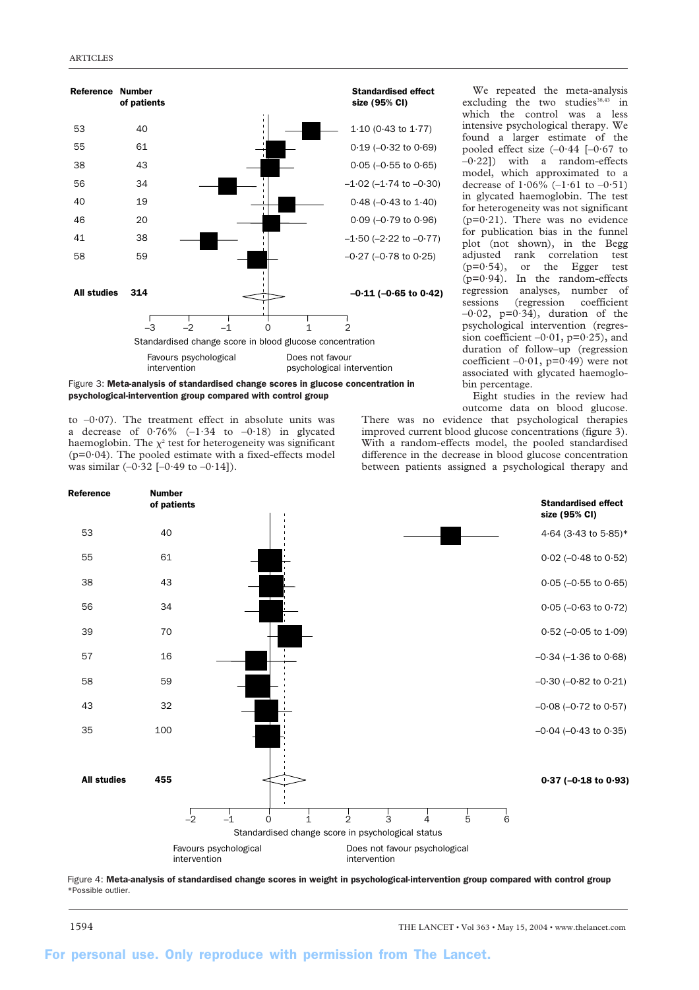



to  $-0.07$ ). The treatment effect in absolute units was a decrease of  $0.76\%$  (-1.34 to -0.18) in glycated haemoglobin. The  $\chi^2$  test for heterogeneity was significant  $(p=0.04)$ . The pooled estimate with a fixed-effects model was similar  $(-0.32 [-0.49 \text{ to } -0.14]).$ 

We repeated the meta-analysis excluding the two studies $38,43$  in which the control was a less intensive psychological therapy. We found a larger estimate of the pooled effect size  $(-0.44$   $[-0.67$  to  $(-0.22)$  with a random-effects model, which approximated to a decrease of  $1.06\%$  (-1.61 to -0.51) in glycated haemoglobin. The test for heterogeneity was not significant  $(p=0.21)$ . There was no evidence for publication bias in the funnel plot (not shown), in the Begg adjusted rank correlation test  $(p=0.54)$ , or the Egger test  $(p=0.94)$ . In the random-effects regression analyses, number of sessions (regression coefficient  $-0.02$ ,  $p=0.34$ ), duration of the psychological intervention (regression coefficient  $-0.01$ ,  $p=0.25$ ), and duration of follow–up (regression coefficient  $-0.01$ , p= $0.49$ ) were not associated with glycated haemoglobin percentage.

Eight studies in the review had outcome data on blood glucose.

There was no evidence that psychological therapies improved current blood glucose concentrations (figure 3). With a random-effects model, the pooled standardised difference in the decrease in blood glucose concentration between patients assigned a psychological therapy and



Figure 4: Meta-analysis of standardised change scores in weight in psychological-intervention group compared with control group \*Possible outlier.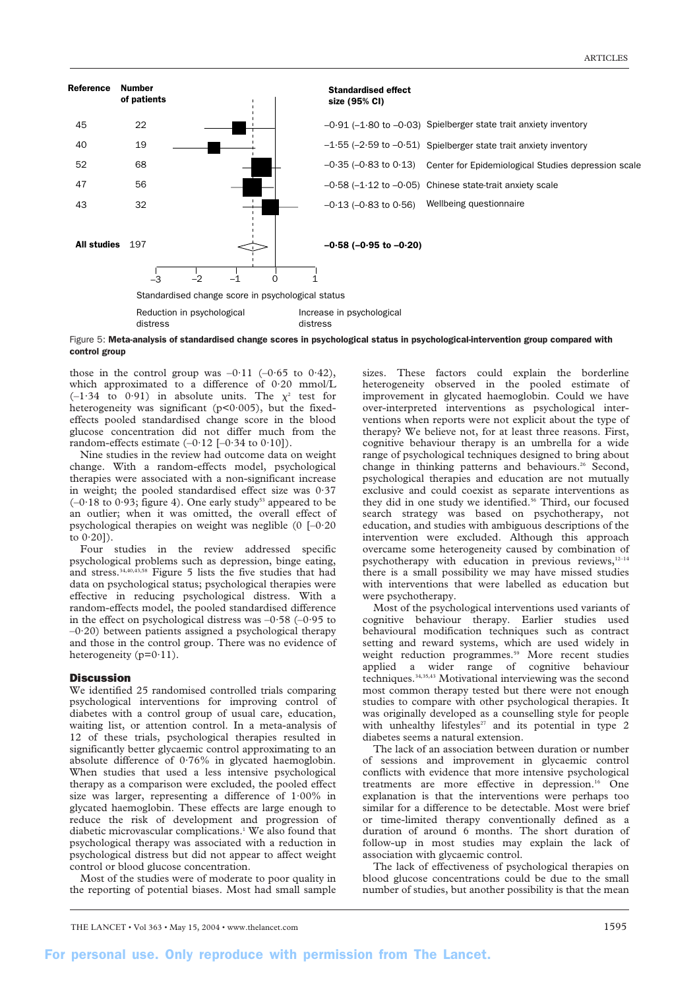

Figure 5: Meta-analysis of standardised change scores in psychological status in psychological-intervention group compared with control group

those in the control group was  $-0.11$  ( $-0.65$  to  $0.42$ ), which approximated to a difference of 0·20 mmol/L  $(-1.34 \text{ to } 0.91)$  in absolute units. The  $\chi^2$  test for heterogeneity was significant ( $p<0.005$ ), but the fixedeffects pooled standardised change score in the blood glucose concentration did not differ much from the random-effects estimate  $(-0.12$   $[-0.34$  to  $0.10]$ ).

Nine studies in the review had outcome data on weight change. With a random-effects model, psychological therapies were associated with a non-significant increase in weight; the pooled standardised effect size was 0·37 ( $-0.18$  to 0.93; figure 4). One early study<sup>53</sup> appeared to be an outlier; when it was omitted, the overall effect of psychological therapies on weight was neglible  $(0 \, [-0.20]$ to  $0.20$ ]).

Four studies in the review addressed specific psychological problems such as depression, binge eating, and stress.34,40,43,58 Figure 5 lists the five studies that had data on psychological status; psychological therapies were effective in reducing psychological distress. With a random-effects model, the pooled standardised difference in the effect on psychological distress was  $-0.58$  ( $-0.95$  to  $-0.20$ ) between patients assigned a psychological therapy and those in the control group. There was no evidence of heterogeneity  $(p=0.11)$ .

## **Discussion**

We identified 25 randomised controlled trials comparing psychological interventions for improving control of diabetes with a control group of usual care, education, waiting list, or attention control. In a meta-analysis of 12 of these trials, psychological therapies resulted in significantly better glycaemic control approximating to an absolute difference of 0·76% in glycated haemoglobin. When studies that used a less intensive psychological therapy as a comparison were excluded, the pooled effect size was larger, representing a difference of 1·00% in glycated haemoglobin. These effects are large enough to reduce the risk of development and progression of diabetic microvascular complications.1 We also found that psychological therapy was associated with a reduction in psychological distress but did not appear to affect weight control or blood glucose concentration.

Most of the studies were of moderate to poor quality in the reporting of potential biases. Most had small sample sizes. These factors could explain the borderline heterogeneity observed in the pooled estimate of improvement in glycated haemoglobin. Could we have over-interpreted interventions as psychological interventions when reports were not explicit about the type of therapy? We believe not, for at least three reasons. First, cognitive behaviour therapy is an umbrella for a wide range of psychological techniques designed to bring about change in thinking patterns and behaviours.<sup>26</sup> Second, psychological therapies and education are not mutually exclusive and could coexist as separate interventions as they did in one study we identified.<sup>56</sup> Third, our focused search strategy was based on psychotherapy, not education, and studies with ambiguous descriptions of the intervention were excluded. Although this approach overcame some heterogeneity caused by combination of psychotherapy with education in previous reviews,12–14 there is a small possibility we may have missed studies with interventions that were labelled as education but were psychotherapy.

Most of the psychological interventions used variants of cognitive behaviour therapy. Earlier studies used behavioural modification techniques such as contract setting and reward systems, which are used widely in weight reduction programmes.<sup>59</sup> More recent studies applied a wider range of cognitive behaviour techniques.34,35,43 Motivational interviewing was the second most common therapy tested but there were not enough studies to compare with other psychological therapies. It was originally developed as a counselling style for people with unhealthy lifestyles $27$  and its potential in type 2 diabetes seems a natural extension.

The lack of an association between duration or number of sessions and improvement in glycaemic control conflicts with evidence that more intensive psychological treatments are more effective in depression.16 One explanation is that the interventions were perhaps too similar for a difference to be detectable. Most were brief or time-limited therapy conventionally defined as a duration of around 6 months. The short duration of follow-up in most studies may explain the lack of association with glycaemic control.

The lack of effectiveness of psychological therapies on blood glucose concentrations could be due to the small number of studies, but another possibility is that the mean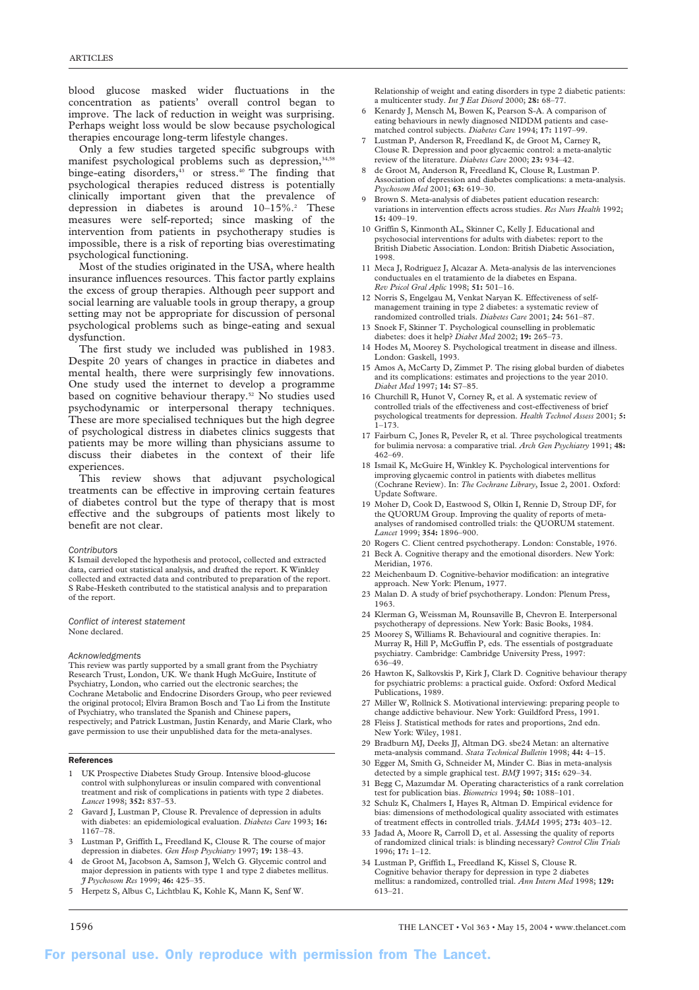blood glucose masked wider fluctuations in the concentration as patients' overall control began to improve. The lack of reduction in weight was surprising. Perhaps weight loss would be slow because psychological therapies encourage long-term lifestyle changes.

Only a few studies targeted specific subgroups with manifest psychological problems such as depression,<sup>34,58</sup> binge-eating disorders,<sup>43</sup> or stress.<sup>40</sup> The finding that psychological therapies reduced distress is potentially clinically important given that the prevalence of depression in diabetes is around  $10-15\%$ .<sup>2</sup> These measures were self-reported; since masking of the intervention from patients in psychotherapy studies is impossible, there is a risk of reporting bias overestimating psychological functioning.

Most of the studies originated in the USA, where health insurance influences resources. This factor partly explains the excess of group therapies. Although peer support and social learning are valuable tools in group therapy, a group setting may not be appropriate for discussion of personal psychological problems such as binge-eating and sexual dysfunction.

The first study we included was published in 1983. Despite 20 years of changes in practice in diabetes and mental health, there were surprisingly few innovations. One study used the internet to develop a programme based on cognitive behaviour therapy.52 No studies used psychodynamic or interpersonal therapy techniques. These are more specialised techniques but the high degree of psychological distress in diabetes clinics suggests that patients may be more willing than physicians assume to discuss their diabetes in the context of their life experiences.

This review shows that adjuvant psychological treatments can be effective in improving certain features of diabetes control but the type of therapy that is most effective and the subgroups of patients most likely to benefit are not clear.

#### *Contributors*

K Ismail developed the hypothesis and protocol, collected and extracted data, carried out statistical analysis, and drafted the report. K Winkley collected and extracted data and contributed to preparation of the report. S Rabe-Hesketh contributed to the statistical analysis and to preparation of the report.

*Conflict of interest statement* None declared.

#### *Acknowledgments*

This review was partly supported by a small grant from the Psychiatry Research Trust, London, UK. We thank Hugh McGuire, Institute of Psychiatry, London, who carried out the electronic searches; the Cochrane Metabolic and Endocrine Disorders Group, who peer reviewed the original protocol; Elvira Bramon Bosch and Tao Li from the Institute of Psychiatry, who translated the Spanish and Chinese papers, respectively; and Patrick Lustman, Justin Kenardy, and Marie Clark, who gave permission to use their unpublished data for the meta-analyses.

#### References

- 1 UK Prospective Diabetes Study Group. Intensive blood-glucose control with sulphonylureas or insulin compared with conventional treatment and risk of complications in patients with type 2 diabetes. *Lancet* 1998; **352:** 837–53.
- 2 Gavard J, Lustman P, Clouse R. Prevalence of depression in adults with diabetes: an epidemiological evaluation. *Diabetes Care* 1993; **16:** 1167–78.
- 3 Lustman P, Griffith L, Freedland K, Clouse R. The course of major depression in diabetes. *Gen Hosp Psychiatry* 1997; **19:** 138–43.
- 4 de Groot M, Jacobson A, Samson J, Welch G. Glycemic control and major depression in patients with type 1 and type 2 diabetes mellitus. *J Psychosom Res* 1999; **46:** 425–35.
- 5 Herpetz S, Albus C, Lichtblau K, Kohle K, Mann K, Senf W.

Relationship of weight and eating disorders in type 2 diabetic patients: a multicenter study. *Int J Eat Disord* 2000; **28:** 68–77.

- 6 Kenardy J, Mensch M, Bowen K, Pearson S-A. A comparison of eating behaviours in newly diagnosed NIDDM patients and casematched control subjects. *Diabetes Care* 1994; **17:** 1197–99.
- Lustman P, Anderson R, Freedland K, de Groot M, Carney R, Clouse R. Depression and poor glycaemic control: a meta-analytic review of the literature. *Diabetes Care* 2000; **23:** 934–42.
- de Groot M, Anderson R, Freedland K, Clouse R, Lustman P. Association of depression and diabetes complications: a meta-analysis. *Psychosom Med* 2001; **63:** 619–30.
- Brown S. Meta-analysis of diabetes patient education research: variations in intervention effects across studies. *Res Nurs Health* 1992; **15:** 409–19.
- 10 Griffin S, Kinmonth AL, Skinner C, Kelly J. Educational and psychosocial interventions for adults with diabetes: report to the British Diabetic Association. London: British Diabetic Association, 1998.
- 11 Meca J, Rodriguez J, Alcazar A. Meta-analysis de las intervenciones conductuales en el tratamiento de la diabetes en Espana. *Rev Psicol Gral Aplic* 1998; **51:** 501–16.
- 12 Norris S, Engelgau M, Venkat Naryan K. Effectiveness of selfmanagement training in type 2 diabetes: a systematic review of randomized controlled trials. *Diabetes Care* 2001; **24:** 561–87.
- 13 Snoek F, Skinner T. Psychological counselling in problematic diabetes: does it help? *Diabet Med* 2002; **19:** 265–73.
- 14 Hodes M, Moorey S. Psychological treatment in disease and illness. London: Gaskell, 1993.
- 15 Amos A, McCarty D, Zimmet P. The rising global burden of diabetes and its complications: estimates and projections to the year 2010. *Diabet Med* 1997; **14:** S7–85.
- 16 Churchill R, Hunot V, Corney R, et al. A systematic review of controlled trials of the effectiveness and cost-effectiveness of brief psychological treatments for depression. *Health Technol Assess* 2001; **5:**  $1-173.$
- 17 Fairburn C, Jones R, Peveler R, et al. Three psychological treatments for bulimia nervosa: a comparative trial. *Arch Gen Psychiatry* 1991; **48:** 462–69.
- 18 Ismail K, McGuire H, Winkley K. Psychological interventions for improving glycaemic control in patients with diabetes mellitus (Cochrane Review). In: *The Cochrane Library*, Issue 2, 2001. Oxford: Update Software.
- 19 Moher D, Cook D, Eastwood S, Olkin I, Rennie D, Stroup DF, for the QUORUM Group. Improving the quality of reports of metaanalyses of randomised controlled trials: the QUORUM statement. *Lancet* 1999; **354:** 1896–900.
- 20 Rogers C. Client centred psychotherapy. London: Constable, 1976. 21 Beck A. Cognitive therapy and the emotional disorders. New York: Meridian, 1976.
- 22 Meichenbaum D. Cognitive-behavior modification: an integrative approach. New York: Plenum, 1977.
- 23 Malan D. A study of brief psychotherapy. London: Plenum Press, 1963.
- 24 Klerman G, Weissman M, Rounsaville B, Chevron E. Interpersonal psychotherapy of depressions. New York: Basic Books, 1984.
- 25 Moorey S, Williams R. Behavioural and cognitive therapies. In: Murray R, Hill P, McGuffin P, eds. The essentials of postgraduate psychiatry. Cambridge: Cambridge University Press, 1997: 636–49.
- 26 Hawton K, Salkovskis P, Kirk J, Clark D. Cognitive behaviour therapy for psychiatric problems: a practical guide. Oxford: Oxford Medical Publications, 1989.
- 27 Miller W, Rollnick S. Motivational interviewing: preparing people to change addictive behaviour. New York: Guildford Press, 1991.
- 28 Fleiss J. Statistical methods for rates and proportions, 2nd edn. New York: Wiley, 1981.
- 29 Bradburn MJ, Deeks JJ, Altman DG. sbe24 Metan: an alternative meta-analysis command. *Stata Technical Bulletin* 1998; **44:** 4–15.
- 30 Egger M, Smith G, Schneider M, Minder C. Bias in meta-analysis detected by a simple graphical test. *BMJ* 1997; **315:** 629–34.
- 31 Begg C, Mazumdar M. Operating characteristics of a rank correlation test for publication bias. *Biometrics* 1994; **50:** 1088–101.
- 32 Schulz K, Chalmers I, Hayes R, Altman D. Empirical evidence for bias: dimensions of methodological quality associated with estimates of treatment effects in controlled trials. *JAMA* 1995; **273:** 403–12.
- 33 Jadad A, Moore R, Carroll D, et al. Assessing the quality of reports of randomized clinical trials: is blinding necessary? *Control Clin Trials* 1996; **17:** 1–12.
- 34 Lustman P, Griffith L, Freedland K, Kissel S, Clouse R. Cognitive behavior therapy for depression in type 2 diabetes mellitus: a randomized, controlled trial. *Ann Intern Med* 1998; **129:** 613–21.

1596 THE LANCET • Vol 363 • May 15, 2004 • www.thelancet.com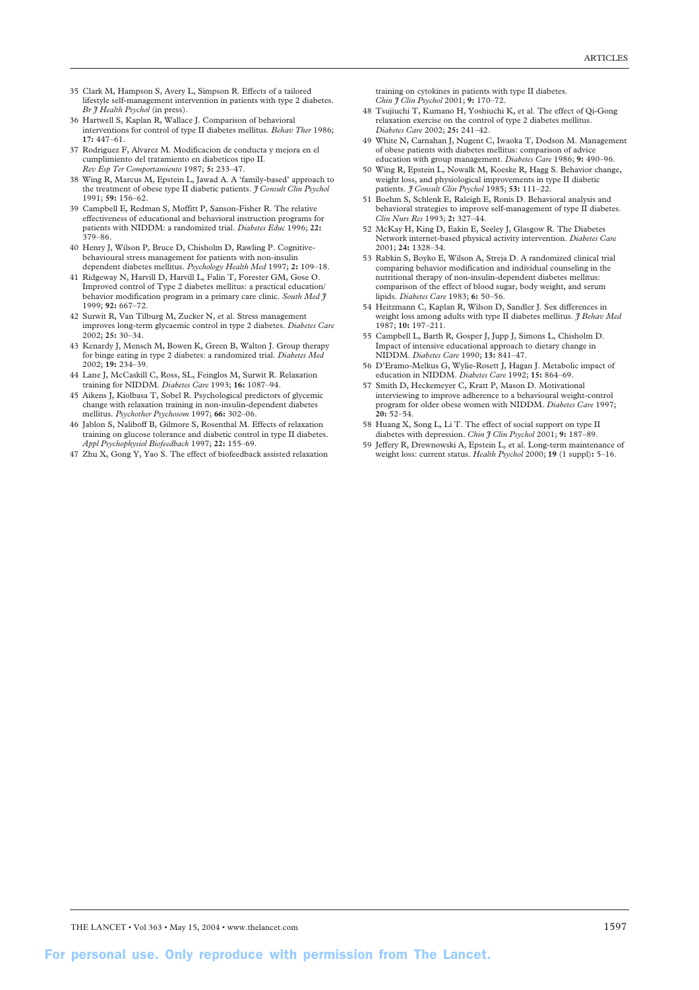- 35 Clark M, Hampson S, Avery L, Simpson R. Effects of a tailored lifestyle self-management intervention in patients with type 2 diabetes. *Br J Health Psychol* (in press).
- 36 Hartwell S, Kaplan R, Wallace J. Comparison of behavioral interventions for control of type II diabetes mellitus. *Behav Ther* 1986; **17:** 447–61.
- 37 Rodriguez F, Alvarez M. Modificacion de conducta y mejora en el cumplimiento del tratamiento en diabeticos tipo II. *Rev Esp Ter Comportamiento* 1987; **5:** 233–47.
- 38 Wing R, Marcus M, Epstein L, Jawad A. A 'family-based' approach to the treatment of obese type II diabetic patients. *J Consult Clin Psychol* 1991; **59:** 156–62.
- 39 Campbell E, Redman S, Moffitt P, Sanson-Fisher R. The relative effectiveness of educational and behavioral instruction programs for patients with NIDDM: a randomized trial. *Diabetes Educ* 1996; **22:** 379–86.
- 40 Henry J, Wilson P, Bruce D, Chisholm D, Rawling P. Cognitivebehavioural stress management for patients with non-insulin dependent diabetes mellitus. *Psychology Health Med* 1997; **2:** 109–18.
- 41 Ridgeway N, Harvill D, Harvill L, Falin T, Forester GM, Gose O. Improved control of Type 2 diabetes mellitus: a practical education/ behavior modification program in a primary care clinic. *South Med J* 1999; **92:** 667–72.
- 42 Surwit R, Van Tilburg M, Zucker N, et al. Stress management improves long-term glycaemic control in type 2 diabetes. *Diabetes Care* 2002; **25:** 30–34.
- 43 Kenardy J, Mensch M, Bowen K, Green B, Walton J. Group therapy for binge eating in type 2 diabetes: a randomized trial. *Diabetes Med* 2002; **19:** 234–39.
- 44 Lane J, McCaskill C, Ross, SL, Feinglos M, Surwit R. Relaxation training for NIDDM. *Diabetes Care* 1993; **16:** 1087–94.
- 45 Aikens J, Kiolbasa T, Sobel R. Psychological predictors of glycemic change with relaxation training in non-insulin-dependent diabetes mellitus. *Psychother Psychosom* 1997; **66:** 302–06.
- 46 Jablon S, Naliboff B, Gilmore S, Rosenthal M. Effects of relaxation training on glucose tolerance and diabetic control in type II diabetes. *Appl Psychophysiol Biofeedback* 1997; **22:** 155–69.
- 47 Zhu X, Gong Y, Yao S. The effect of biofeedback assisted relaxation

training on cytokines in patients with type II diabetes. *Chin J Clin Psychol* 2001; **9:** 170–72.

- 48 Tsujiuchi T, Kumano H, Yoshiuchi K, et al. The effect of Qi-Gong relaxation exercise on the control of type 2 diabetes mellitus. *Diabetes Care* 2002; **25:** 241–42.
- 49 White N, Carnahan J, Nugent C, Iwaoka T, Dodson M. Management of obese patients with diabetes mellitus: comparison of advice education with group management. *Diabetes Care* 1986; **9:** 490–96.
- 50 Wing R, Epstein L, Nowalk M, Koeske R, Hagg S. Behavior change, weight loss, and physiological improvements in type II diabetic patients. *J Consult Clin Psychol* 1985; **53:** 111–22.
- 51 Boehm S, Schlenk E, Raleigh E, Ronis D. Behavioral analysis and behavioral strategies to improve self-management of type II diabetes. *Clin Nurs Res* 1993; **2:** 327–44.
- 52 McKay H, King D, Eakin E, Seeley J, Glasgow R. The Diabetes Network internet-based physical activity intervention. *Diabetes Care* 2001; **24:** 1328–34.
- 53 Rabkin S, Boyko E, Wilson A, Streja D. A randomized clinical trial comparing behavior modification and individual counseling in the nutritional therapy of non-insulin-dependent diabetes mellitus: comparison of the effect of blood sugar, body weight, and serum lipids. *Diabetes Care* 1983; **6:** 50–56.
- 54 Heitzmann C, Kaplan R, Wilson D, Sandler J. Sex differences in weight loss among adults with type II diabetes mellitus. *J Behav Med* 1987; **10:** 197–211.
- 55 Campbell L, Barth R, Gosper J, Jupp J, Simons L, Chisholm D. Impact of intensive educational approach to dietary change in NIDDM. *Diabetes Care* 1990; **13:** 841–47.
- 56 D'Eramo-Melkus G, Wylie-Rosett J, Hagan J. Metabolic impact of education in NIDDM. *Diabetes Care* 1992; **15:** 864–69.
- 57 Smith D, Heckemeyer C, Kratt P, Mason D. Motivational interviewing to improve adherence to a behavioural weight-control program for older obese women with NIDDM. *Diabetes Care* 1997; **20:** 52–54.
- 58 Huang X, Song L, Li T. The effect of social support on type II diabetes with depression. *Chin J Clin Psychol* 2001; **9:** 187–89.
- 59 Jeffery R, Drewnowski A, Epstein L, et al. Long-term maintenance of weight loss: current status. *Health Psychol* 2000; **19** (1 suppl)**:** 5–16.